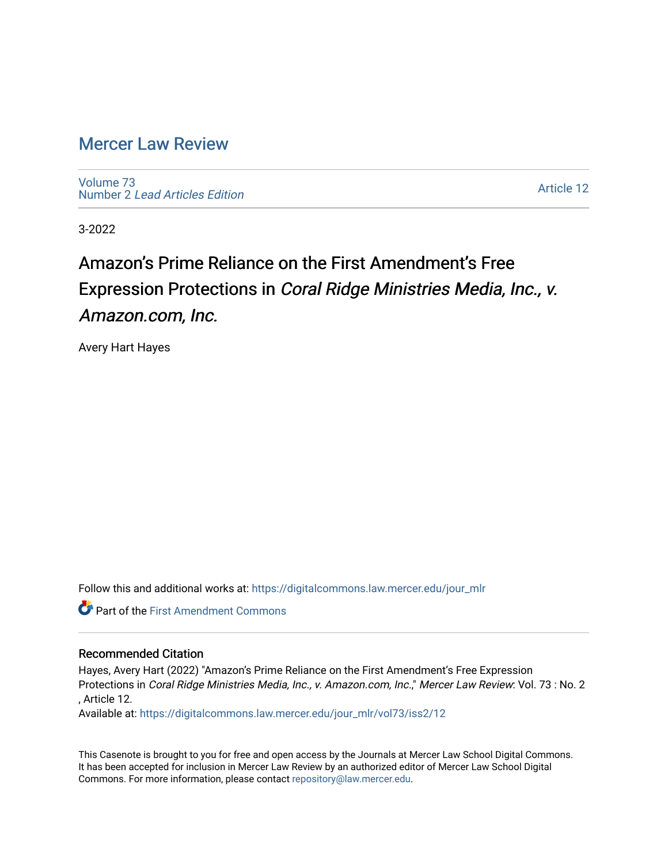# [Mercer Law Review](https://digitalcommons.law.mercer.edu/jour_mlr)

[Volume 73](https://digitalcommons.law.mercer.edu/jour_mlr/vol73) Number 2 [Lead Articles Edition](https://digitalcommons.law.mercer.edu/jour_mlr/vol73/iss2)

[Article 12](https://digitalcommons.law.mercer.edu/jour_mlr/vol73/iss2/12) 

3-2022

# Amazon's Prime Reliance on the First Amendment's Free Expression Protections in Coral Ridge Ministries Media, Inc., v. Amazon.com, Inc.

Avery Hart Hayes

Follow this and additional works at: [https://digitalcommons.law.mercer.edu/jour\\_mlr](https://digitalcommons.law.mercer.edu/jour_mlr?utm_source=digitalcommons.law.mercer.edu%2Fjour_mlr%2Fvol73%2Fiss2%2F12&utm_medium=PDF&utm_campaign=PDFCoverPages)

**Part of the First Amendment Commons** 

# Recommended Citation

Hayes, Avery Hart (2022) "Amazon's Prime Reliance on the First Amendment's Free Expression Protections in Coral Ridge Ministries Media, Inc., v. Amazon.com, Inc.," Mercer Law Review: Vol. 73 : No. 2 , Article 12.

Available at: [https://digitalcommons.law.mercer.edu/jour\\_mlr/vol73/iss2/12](https://digitalcommons.law.mercer.edu/jour_mlr/vol73/iss2/12?utm_source=digitalcommons.law.mercer.edu%2Fjour_mlr%2Fvol73%2Fiss2%2F12&utm_medium=PDF&utm_campaign=PDFCoverPages) 

This Casenote is brought to you for free and open access by the Journals at Mercer Law School Digital Commons. It has been accepted for inclusion in Mercer Law Review by an authorized editor of Mercer Law School Digital Commons. For more information, please contact [repository@law.mercer.edu.](mailto:repository@law.mercer.edu)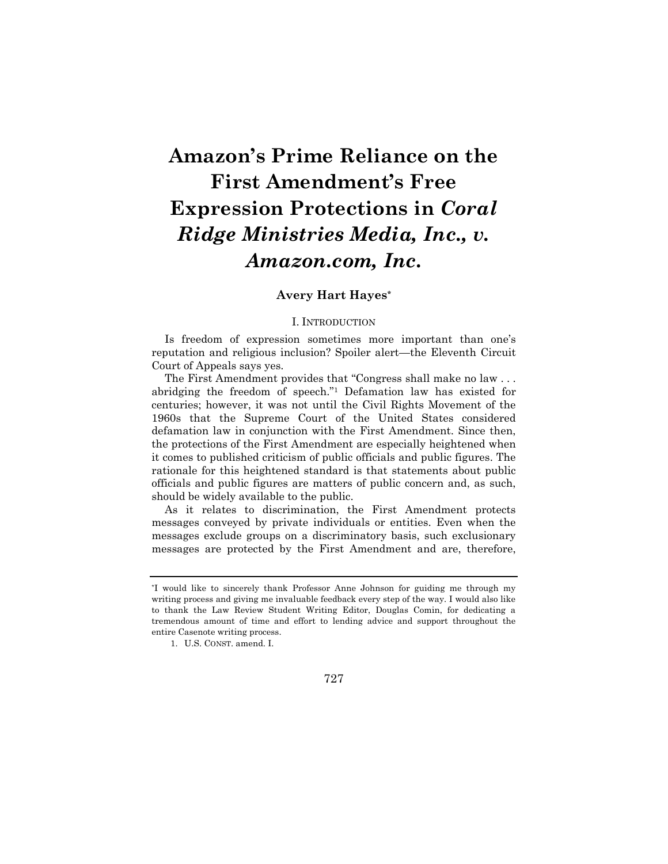# **Amazon's Prime Reliance on the First Amendment's Free Expression Protections in** *Coral Ridge Ministries Media, Inc., v. Amazon.com, Inc.*

## **Avery Hart Hayes\***

#### I. INTRODUCTION

Is freedom of expression sometimes more important than one's reputation and religious inclusion? Spoiler alert—the Eleventh Circuit Court of Appeals says yes.

The First Amendment provides that "Congress shall make no law . . . abridging the freedom of speech."<sup>1</sup> Defamation law has existed for centuries; however, it was not until the Civil Rights Movement of the 1960s that the Supreme Court of the United States considered defamation law in conjunction with the First Amendment. Since then, the protections of the First Amendment are especially heightened when it comes to published criticism of public officials and public figures. The rationale for this heightened standard is that statements about public officials and public figures are matters of public concern and, as such, should be widely available to the public.

As it relates to discrimination, the First Amendment protects messages conveyed by private individuals or entities. Even when the messages exclude groups on a discriminatory basis, such exclusionary messages are protected by the First Amendment and are, therefore,

<sup>\*</sup>I would like to sincerely thank Professor Anne Johnson for guiding me through my writing process and giving me invaluable feedback every step of the way. I would also like to thank the Law Review Student Writing Editor, Douglas Comin, for dedicating a tremendous amount of time and effort to lending advice and support throughout the entire Casenote writing process.

<sup>1.</sup> U.S. CONST. amend. I.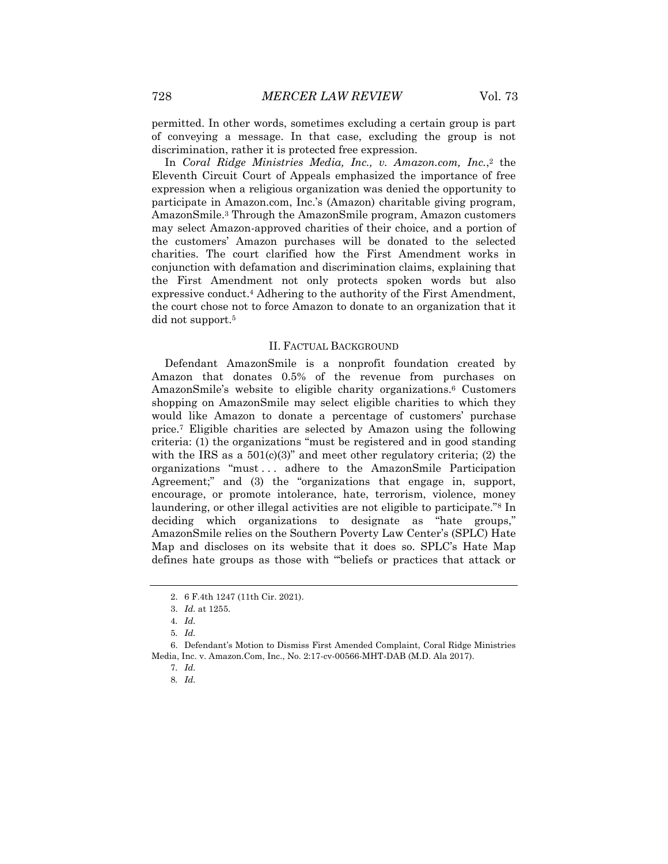permitted. In other words, sometimes excluding a certain group is part of conveying a message. In that case, excluding the group is not discrimination, rather it is protected free expression.

In *Coral Ridge Ministries Media, Inc., v. Amazon.com, Inc.*, <sup>2</sup> the Eleventh Circuit Court of Appeals emphasized the importance of free expression when a religious organization was denied the opportunity to participate in Amazon.com, Inc.'s (Amazon) charitable giving program, AmazonSmile.<sup>3</sup> Through the AmazonSmile program, Amazon customers may select Amazon-approved charities of their choice, and a portion of the customers' Amazon purchases will be donated to the selected charities. The court clarified how the First Amendment works in conjunction with defamation and discrimination claims, explaining that the First Amendment not only protects spoken words but also expressive conduct.<sup>4</sup> Adhering to the authority of the First Amendment, the court chose not to force Amazon to donate to an organization that it did not support.<sup>5</sup>

#### II. FACTUAL BACKGROUND

Defendant AmazonSmile is a nonprofit foundation created by Amazon that donates 0.5% of the revenue from purchases on AmazonSmile's website to eligible charity organizations.<sup>6</sup> Customers shopping on AmazonSmile may select eligible charities to which they would like Amazon to donate a percentage of customers' purchase price.<sup>7</sup> Eligible charities are selected by Amazon using the following criteria: (1) the organizations "must be registered and in good standing with the IRS as a  $501(c)(3)$ " and meet other regulatory criteria; (2) the organizations "must . . . adhere to the AmazonSmile Participation Agreement;" and (3) the "organizations that engage in, support, encourage, or promote intolerance, hate, terrorism, violence, money laundering, or other illegal activities are not eligible to participate."<sup>8</sup> In deciding which organizations to designate as "hate groups," AmazonSmile relies on the Southern Poverty Law Center's (SPLC) Hate Map and discloses on its website that it does so. SPLC's Hate Map defines hate groups as those with "'beliefs or practices that attack or

6. Defendant's Motion to Dismiss First Amended Complaint, Coral Ridge Ministries Media, Inc. v. Amazon.Com, Inc., No. 2:17-cv-00566-MHT-DAB (M.D. Ala 2017).

<sup>2.</sup> 6 F.4th 1247 (11th Cir. 2021).

<sup>3.</sup> *Id.* at 1255.

<sup>4</sup>*. Id.*

<sup>5</sup>*. Id.*

<sup>7</sup>*. Id.*

<sup>8</sup>*. Id.*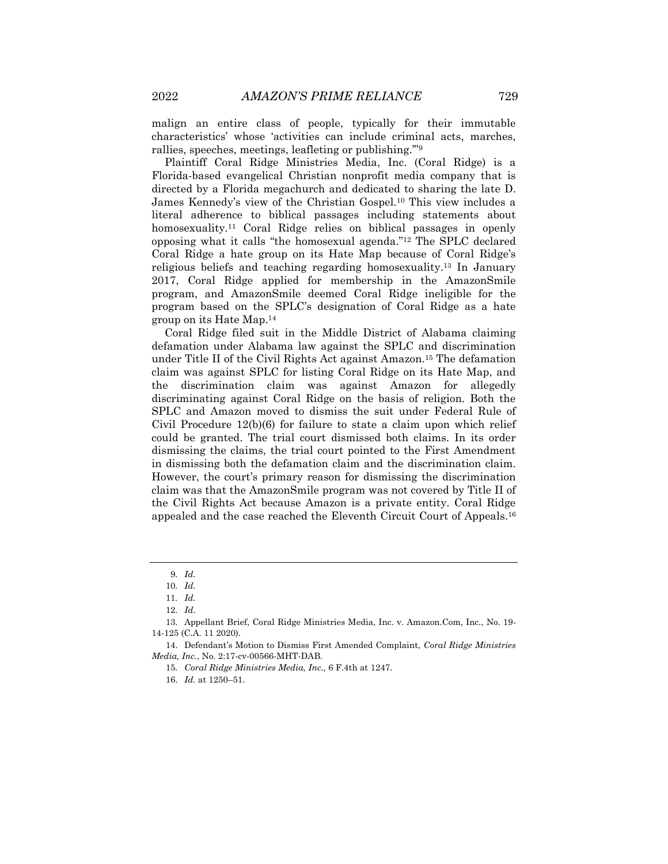malign an entire class of people, typically for their immutable characteristics' whose 'activities can include criminal acts, marches, rallies, speeches, meetings, leafleting or publishing.'"<sup>9</sup>

Plaintiff Coral Ridge Ministries Media, Inc. (Coral Ridge) is a Florida-based evangelical Christian nonprofit media company that is directed by a Florida megachurch and dedicated to sharing the late D. James Kennedy's view of the Christian Gospel.<sup>10</sup> This view includes a literal adherence to biblical passages including statements about homosexuality.<sup>11</sup> Coral Ridge relies on biblical passages in openly opposing what it calls "the homosexual agenda."<sup>12</sup> The SPLC declared Coral Ridge a hate group on its Hate Map because of Coral Ridge's religious beliefs and teaching regarding homosexuality.<sup>13</sup> In January 2017, Coral Ridge applied for membership in the AmazonSmile program, and AmazonSmile deemed Coral Ridge ineligible for the program based on the SPLC's designation of Coral Ridge as a hate group on its Hate Map.<sup>14</sup>

Coral Ridge filed suit in the Middle District of Alabama claiming defamation under Alabama law against the SPLC and discrimination under Title II of the Civil Rights Act against Amazon.<sup>15</sup> The defamation claim was against SPLC for listing Coral Ridge on its Hate Map, and the discrimination claim was against Amazon for allegedly discriminating against Coral Ridge on the basis of religion. Both the SPLC and Amazon moved to dismiss the suit under Federal Rule of Civil Procedure 12(b)(6) for failure to state a claim upon which relief could be granted. The trial court dismissed both claims. In its order dismissing the claims, the trial court pointed to the First Amendment in dismissing both the defamation claim and the discrimination claim. However, the court's primary reason for dismissing the discrimination claim was that the AmazonSmile program was not covered by Title II of the Civil Rights Act because Amazon is a private entity. Coral Ridge appealed and the case reached the Eleventh Circuit Court of Appeals.<sup>16</sup>

<sup>9</sup>*. Id.*

<sup>10</sup>*. Id.*

<sup>11</sup>*. Id.*

<sup>12</sup>*. Id.*

<sup>13.</sup> Appellant Brief, Coral Ridge Ministries Media, Inc. v. Amazon.Com, Inc., No. 19- 14-125 (C.A. 11 2020).

<sup>14.</sup> Defendant's Motion to Dismiss First Amended Complaint, *Coral Ridge Ministries Media, Inc.*, No. 2:17-cv-00566-MHT-DAB.

<sup>15</sup>*. Coral Ridge Ministries Media, Inc.,* 6 F.4th at 1247.

<sup>16.</sup> *Id.* at 1250–51.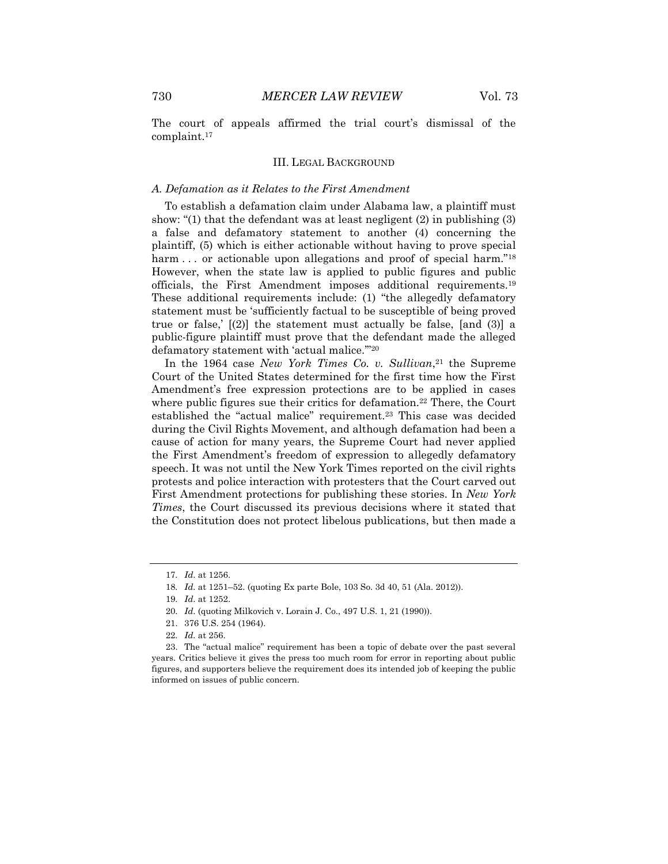The court of appeals affirmed the trial court's dismissal of the complaint.<sup>17</sup>

#### III. LEGAL BACKGROUND

#### *A. Defamation as it Relates to the First Amendment*

To establish a defamation claim under Alabama law, a plaintiff must show: "(1) that the defendant was at least negligent (2) in publishing (3) a false and defamatory statement to another (4) concerning the plaintiff, (5) which is either actionable without having to prove special harm ... or actionable upon allegations and proof of special harm."<sup>18</sup> However, when the state law is applied to public figures and public officials, the First Amendment imposes additional requirements.<sup>19</sup> These additional requirements include: (1) "the allegedly defamatory statement must be 'sufficiently factual to be susceptible of being proved true or false,' [(2)] the statement must actually be false, [and (3)] a public-figure plaintiff must prove that the defendant made the alleged defamatory statement with 'actual malice.'"<sup>20</sup>

In the 1964 case *New York Times Co. v. Sullivan*, <sup>21</sup> the Supreme Court of the United States determined for the first time how the First Amendment's free expression protections are to be applied in cases where public figures sue their critics for defamation.<sup>22</sup> There, the Court established the "actual malice" requirement.<sup>23</sup> This case was decided during the Civil Rights Movement, and although defamation had been a cause of action for many years, the Supreme Court had never applied the First Amendment's freedom of expression to allegedly defamatory speech. It was not until the New York Times reported on the civil rights protests and police interaction with protesters that the Court carved out First Amendment protections for publishing these stories. In *New York Times*, the Court discussed its previous decisions where it stated that the Constitution does not protect libelous publications, but then made a

<sup>17</sup>*. Id*. at 1256.

<sup>18</sup>*. Id.* at 1251–52. (quoting Ex parte Bole, 103 So. 3d 40, 51 (Ala. 2012)).

<sup>19</sup>*. Id*. at 1252.

<sup>20</sup>*. Id*. (quoting Milkovich v. Lorain J. Co., 497 U.S. 1, 21 (1990)).

<sup>21.</sup> 376 U.S. 254 (1964).

<sup>22</sup>*. Id.* at 256.

<sup>23.</sup> The "actual malice" requirement has been a topic of debate over the past several years. Critics believe it gives the press too much room for error in reporting about public figures, and supporters believe the requirement does its intended job of keeping the public informed on issues of public concern.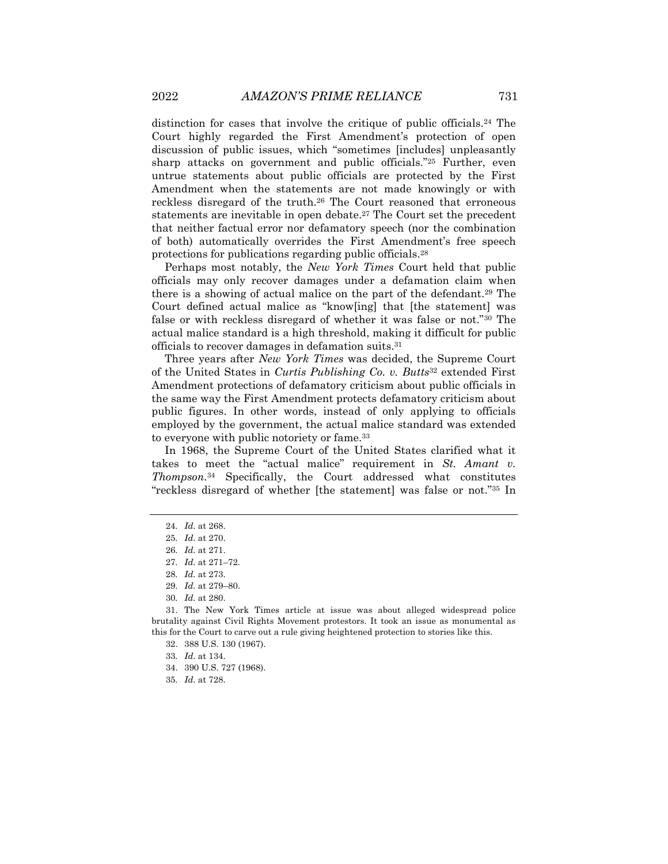distinction for cases that involve the critique of public officials.<sup>24</sup> The Court highly regarded the First Amendment's protection of open discussion of public issues, which "sometimes [includes] unpleasantly sharp attacks on government and public officials."<sup>25</sup> Further, even untrue statements about public officials are protected by the First Amendment when the statements are not made knowingly or with reckless disregard of the truth.<sup>26</sup> The Court reasoned that erroneous statements are inevitable in open debate.<sup>27</sup> The Court set the precedent that neither factual error nor defamatory speech (nor the combination of both) automatically overrides the First Amendment's free speech protections for publications regarding public officials.<sup>28</sup>

Perhaps most notably, the *New York Times* Court held that public officials may only recover damages under a defamation claim when there is a showing of actual malice on the part of the defendant.<sup>29</sup> The Court defined actual malice as "know[ing] that [the statement] was false or with reckless disregard of whether it was false or not."<sup>30</sup> The actual malice standard is a high threshold, making it difficult for public officials to recover damages in defamation suits.<sup>31</sup>

Three years after *New York Times* was decided, the Supreme Court of the United States in *Curtis Publishing Co. v. Butts*<sup>32</sup> extended First Amendment protections of defamatory criticism about public officials in the same way the First Amendment protects defamatory criticism about public figures. In other words, instead of only applying to officials employed by the government, the actual malice standard was extended to everyone with public notoriety or fame.<sup>33</sup>

In 1968, the Supreme Court of the United States clarified what it takes to meet the "actual malice" requirement in *St. Amant v. Thompson.*<sup>34</sup> Specifically, the Court addressed what constitutes "reckless disregard of whether [the statement] was false or not."<sup>35</sup> In

- 34. 390 U.S. 727 (1968).
- 35*. Id*. at 728.

<sup>24</sup>*. Id*. at 268.

<sup>25</sup>*. Id*. at 270.

<sup>26</sup>*. Id.* at 271.

<sup>27</sup>*. Id.* at 271–72.

<sup>28</sup>*. Id.* at 273.

<sup>29</sup>*. Id.* at 279–80.

<sup>30</sup>*. Id.* at 280.

<sup>31.</sup> The New York Times article at issue was about alleged widespread police brutality against Civil Rights Movement protestors. It took an issue as monumental as this for the Court to carve out a rule giving heightened protection to stories like this.

<sup>32.</sup> 388 U.S. 130 (1967).

<sup>33</sup>*. Id*. at 134.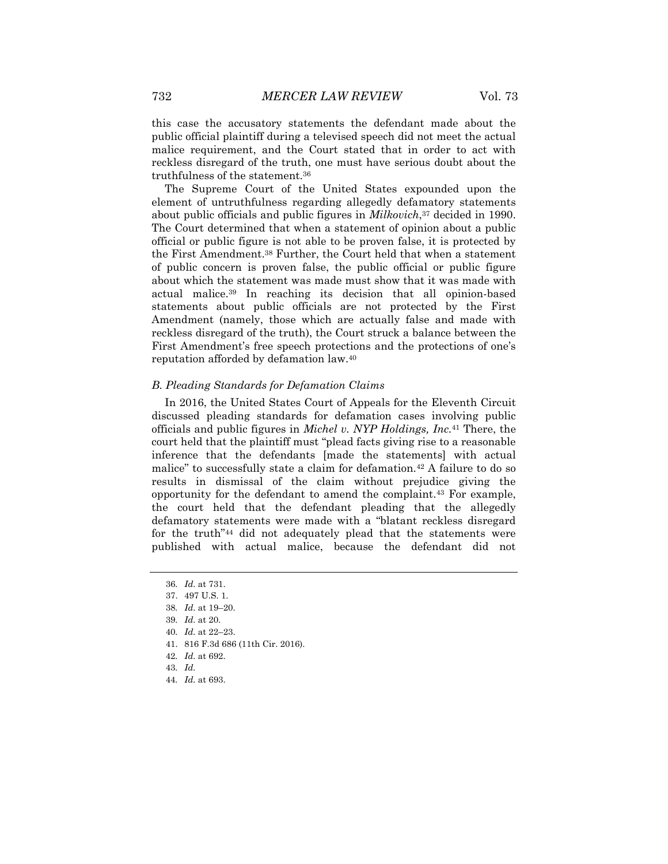this case the accusatory statements the defendant made about the public official plaintiff during a televised speech did not meet the actual malice requirement, and the Court stated that in order to act with reckless disregard of the truth, one must have serious doubt about the truthfulness of the statement.<sup>36</sup>

The Supreme Court of the United States expounded upon the element of untruthfulness regarding allegedly defamatory statements about public officials and public figures in *Milkovich*, <sup>37</sup> decided in 1990. The Court determined that when a statement of opinion about a public official or public figure is not able to be proven false, it is protected by the First Amendment.<sup>38</sup> Further, the Court held that when a statement of public concern is proven false, the public official or public figure about which the statement was made must show that it was made with actual malice.<sup>39</sup> In reaching its decision that all opinion-based statements about public officials are not protected by the First Amendment (namely, those which are actually false and made with reckless disregard of the truth), the Court struck a balance between the First Amendment's free speech protections and the protections of one's reputation afforded by defamation law.<sup>40</sup>

#### *B. Pleading Standards for Defamation Claims*

In 2016, the United States Court of Appeals for the Eleventh Circuit discussed pleading standards for defamation cases involving public officials and public figures in *Michel v. NYP Holdings, Inc.*<sup>41</sup> There, the court held that the plaintiff must "plead facts giving rise to a reasonable inference that the defendants [made the statements] with actual malice" to successfully state a claim for defamation.<sup>42</sup> A failure to do so results in dismissal of the claim without prejudice giving the opportunity for the defendant to amend the complaint.<sup>43</sup> For example, the court held that the defendant pleading that the allegedly defamatory statements were made with a "blatant reckless disregard for the truth"<sup>44</sup> did not adequately plead that the statements were published with actual malice, because the defendant did not

<sup>36</sup>*. Id*. at 731.

<sup>37.</sup> 497 U.S. 1.

<sup>38</sup>*. Id*. at 19–20.

<sup>39</sup>*. Id*. at 20.

<sup>40</sup>*. Id.* at 22–23.

<sup>41.</sup> 816 F.3d 686 (11th Cir. 2016).

<sup>42</sup>*. Id*. at 692.

<sup>43</sup>*. Id.*

<sup>44</sup>*. Id.* at 693.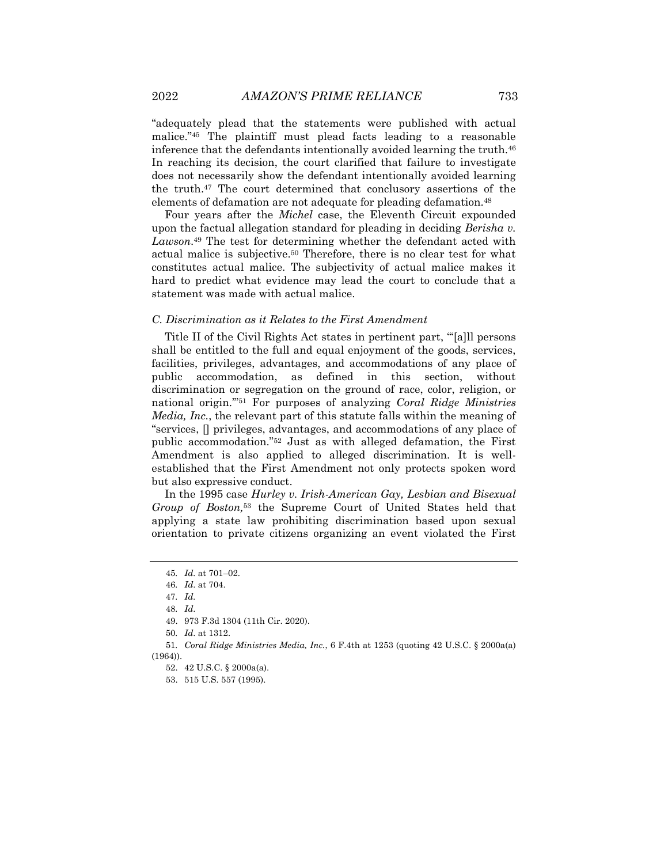"adequately plead that the statements were published with actual malice."<sup>45</sup> The plaintiff must plead facts leading to a reasonable inference that the defendants intentionally avoided learning the truth.<sup>46</sup> In reaching its decision, the court clarified that failure to investigate does not necessarily show the defendant intentionally avoided learning the truth.<sup>47</sup> The court determined that conclusory assertions of the elements of defamation are not adequate for pleading defamation.<sup>48</sup>

Four years after the *Michel* case, the Eleventh Circuit expounded upon the factual allegation standard for pleading in deciding *Berisha v. Lawson*. <sup>49</sup> The test for determining whether the defendant acted with actual malice is subjective.<sup>50</sup> Therefore, there is no clear test for what constitutes actual malice. The subjectivity of actual malice makes it hard to predict what evidence may lead the court to conclude that a statement was made with actual malice.

#### *C. Discrimination as it Relates to the First Amendment*

Title II of the Civil Rights Act states in pertinent part, "'[a]ll persons shall be entitled to the full and equal enjoyment of the goods, services, facilities, privileges, advantages, and accommodations of any place of public accommodation, as defined in this section, without discrimination or segregation on the ground of race, color, religion, or national origin.'"<sup>51</sup> For purposes of analyzing *Coral Ridge Ministries Media, Inc.*, the relevant part of this statute falls within the meaning of "services, [] privileges, advantages, and accommodations of any place of public accommodation."<sup>52</sup> Just as with alleged defamation, the First Amendment is also applied to alleged discrimination. It is wellestablished that the First Amendment not only protects spoken word but also expressive conduct.

In the 1995 case *Hurley v. Irish-American Gay, Lesbian and Bisexual Group of Boston,*<sup>53</sup> the Supreme Court of United States held that applying a state law prohibiting discrimination based upon sexual orientation to private citizens organizing an event violated the First

<sup>45</sup>*. Id.* at 701–02.

<sup>46</sup>*. Id*. at 704.

<sup>47</sup>*. Id.*

<sup>48</sup>*. Id*.

<sup>49.</sup> 973 F.3d 1304 (11th Cir. 2020).

<sup>50</sup>*. Id*. at 1312.

<sup>51</sup>*. Coral Ridge Ministries Media, Inc.*, 6 F.4th at 1253 (quoting 42 U.S.C. § 2000a(a) (1964)).

<sup>52.</sup> 42 U.S.C. § 2000a(a).

<sup>53.</sup> 515 U.S. 557 (1995).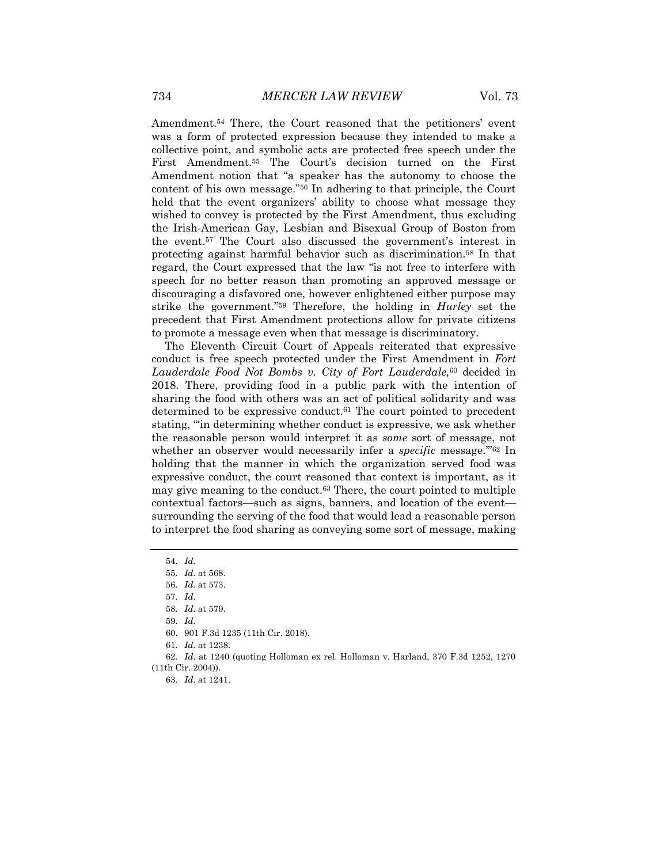Amendment.<sup>54</sup> There, the Court reasoned that the petitioners' event was a form of protected expression because they intended to make a collective point, and symbolic acts are protected free speech under the First Amendment.<sup>55</sup> The Court's decision turned on the First Amendment notion that "a speaker has the autonomy to choose the content of his own message."<sup>56</sup> In adhering to that principle, the Court held that the event organizers' ability to choose what message they wished to convey is protected by the First Amendment, thus excluding the Irish-American Gay, Lesbian and Bisexual Group of Boston from the event.<sup>57</sup> The Court also discussed the government's interest in protecting against harmful behavior such as discrimination.<sup>58</sup> In that regard, the Court expressed that the law "is not free to interfere with speech for no better reason than promoting an approved message or discouraging a disfavored one, however enlightened either purpose may strike the government."<sup>59</sup> Therefore, the holding in *Hurley* set the precedent that First Amendment protections allow for private citizens to promote a message even when that message is discriminatory.

The Eleventh Circuit Court of Appeals reiterated that expressive conduct is free speech protected under the First Amendment in *Fort Lauderdale Food Not Bombs v. City of Fort Lauderdale,*<sup>60</sup> decided in 2018. There, providing food in a public park with the intention of sharing the food with others was an act of political solidarity and was determined to be expressive conduct.<sup>61</sup> The court pointed to precedent stating, "'in determining whether conduct is expressive, we ask whether the reasonable person would interpret it as *some* sort of message, not whether an observer would necessarily infer a *specific* message."<sup>62</sup> In holding that the manner in which the organization served food was expressive conduct, the court reasoned that context is important, as it may give meaning to the conduct.<sup>63</sup> There, the court pointed to multiple contextual factors—such as signs, banners, and location of the event surrounding the serving of the food that would lead a reasonable person to interpret the food sharing as conveying some sort of message, making

<sup>54</sup>*. Id*.

<sup>55</sup>*. Id*. at 568.

<sup>56</sup>*. Id.* at 573.

<sup>57</sup>*. Id*.

<sup>58</sup>*. Id*. at 579.

<sup>59</sup>*. Id*.

<sup>60.</sup> 901 F.3d 1235 (11th Cir. 2018).

<sup>61</sup>*. Id.* at 1238.

<sup>62</sup>*. Id*. at 1240 (quoting Holloman ex rel. Holloman v. Harland, 370 F.3d 1252, 1270 (11th Cir. 2004)).

<sup>63</sup>*. Id*. at 1241.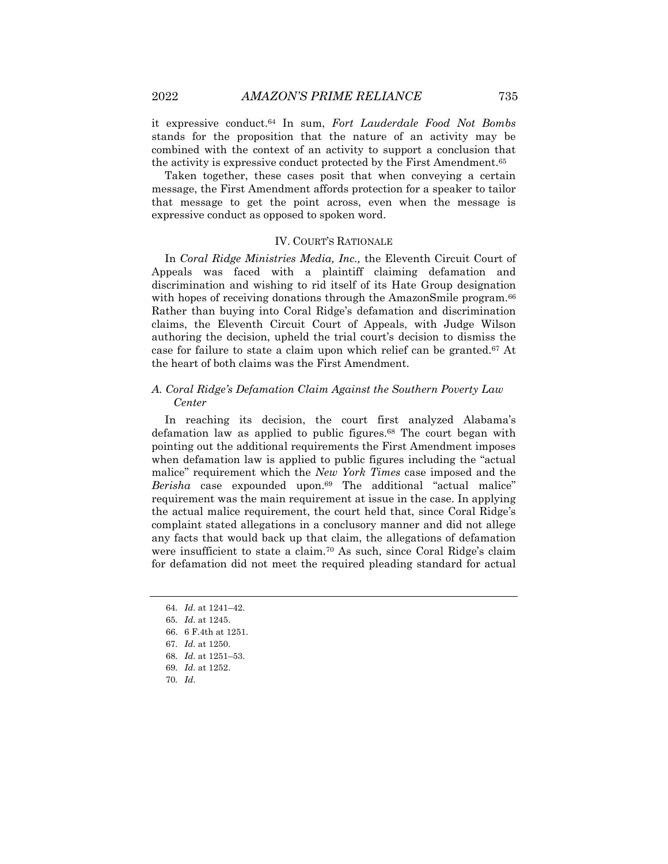it expressive conduct.<sup>64</sup> In sum, *Fort Lauderdale Food Not Bombs* stands for the proposition that the nature of an activity may be combined with the context of an activity to support a conclusion that the activity is expressive conduct protected by the First Amendment.<sup>65</sup>

Taken together, these cases posit that when conveying a certain message, the First Amendment affords protection for a speaker to tailor that message to get the point across, even when the message is expressive conduct as opposed to spoken word.

### IV. COURT'S RATIONALE

In *Coral Ridge Ministries Media, Inc.,* the Eleventh Circuit Court of Appeals was faced with a plaintiff claiming defamation and discrimination and wishing to rid itself of its Hate Group designation with hopes of receiving donations through the AmazonSmile program.<sup>66</sup> Rather than buying into Coral Ridge's defamation and discrimination claims, the Eleventh Circuit Court of Appeals, with Judge Wilson authoring the decision, upheld the trial court's decision to dismiss the case for failure to state a claim upon which relief can be granted.<sup>67</sup> At the heart of both claims was the First Amendment.

### *A. Coral Ridge's Defamation Claim Against the Southern Poverty Law Center*

In reaching its decision, the court first analyzed Alabama's defamation law as applied to public figures.<sup>68</sup> The court began with pointing out the additional requirements the First Amendment imposes when defamation law is applied to public figures including the "actual malice" requirement which the *New York Times* case imposed and the *Berisha* case expounded upon.<sup>69</sup> The additional "actual malice" requirement was the main requirement at issue in the case. In applying the actual malice requirement, the court held that, since Coral Ridge's complaint stated allegations in a conclusory manner and did not allege any facts that would back up that claim, the allegations of defamation were insufficient to state a claim.<sup>70</sup> As such, since Coral Ridge's claim for defamation did not meet the required pleading standard for actual

68*. Id*. at 1251–53.

<sup>64</sup>*. Id*. at 1241–42.

<sup>65</sup>*. Id*. at 1245.

<sup>66.</sup> 6 F.4th at 1251.

<sup>67</sup>*. Id*. at 1250.

<sup>69</sup>*. Id*. at 1252.

<sup>70</sup>*. Id*.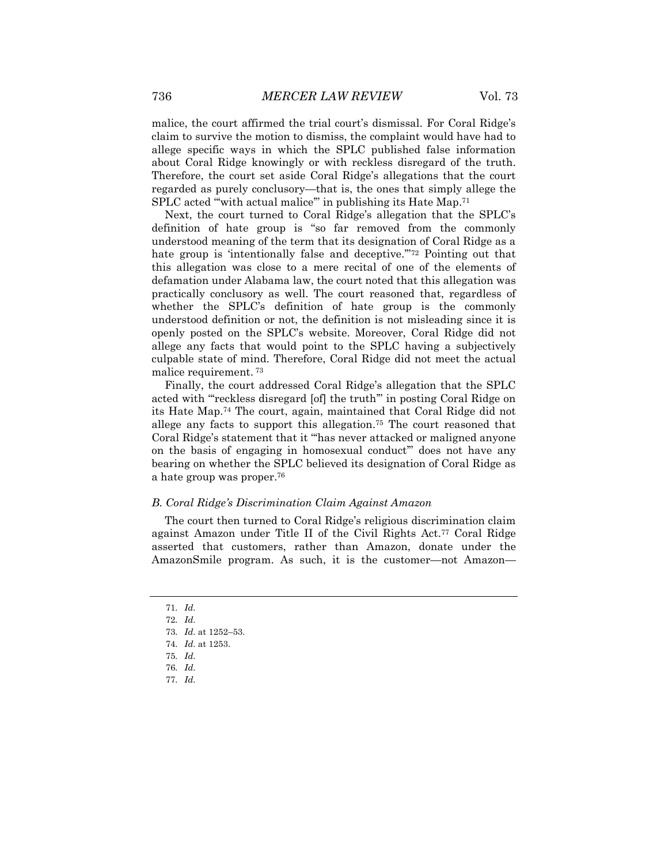malice, the court affirmed the trial court's dismissal. For Coral Ridge's claim to survive the motion to dismiss, the complaint would have had to allege specific ways in which the SPLC published false information about Coral Ridge knowingly or with reckless disregard of the truth. Therefore, the court set aside Coral Ridge's allegations that the court regarded as purely conclusory—that is, the ones that simply allege the SPLC acted "with actual malice" in publishing its Hate Map.<sup>71</sup>

Next, the court turned to Coral Ridge's allegation that the SPLC's definition of hate group is "so far removed from the commonly understood meaning of the term that its designation of Coral Ridge as a hate group is 'intentionally false and deceptive."<sup>72</sup> Pointing out that this allegation was close to a mere recital of one of the elements of defamation under Alabama law, the court noted that this allegation was practically conclusory as well. The court reasoned that, regardless of whether the SPLC's definition of hate group is the commonly understood definition or not, the definition is not misleading since it is openly posted on the SPLC's website. Moreover, Coral Ridge did not allege any facts that would point to the SPLC having a subjectively culpable state of mind. Therefore, Coral Ridge did not meet the actual malice requirement. <sup>73</sup>

Finally, the court addressed Coral Ridge's allegation that the SPLC acted with "'reckless disregard [of] the truth'" in posting Coral Ridge on its Hate Map.<sup>74</sup> The court, again, maintained that Coral Ridge did not allege any facts to support this allegation.<sup>75</sup> The court reasoned that Coral Ridge's statement that it "'has never attacked or maligned anyone on the basis of engaging in homosexual conduct'" does not have any bearing on whether the SPLC believed its designation of Coral Ridge as a hate group was proper.<sup>76</sup>

#### *B. Coral Ridge's Discrimination Claim Against Amazon*

The court then turned to Coral Ridge's religious discrimination claim against Amazon under Title II of the Civil Rights Act.<sup>77</sup> Coral Ridge asserted that customers, rather than Amazon, donate under the AmazonSmile program. As such, it is the customer—not Amazon—

- 71*. Id*.
- 72*. Id*.
- 73*. Id*. at 1252–53.
- 74*. Id*. at 1253.
- 75*. Id*.
- 76*. Id*.
- 77*. Id*.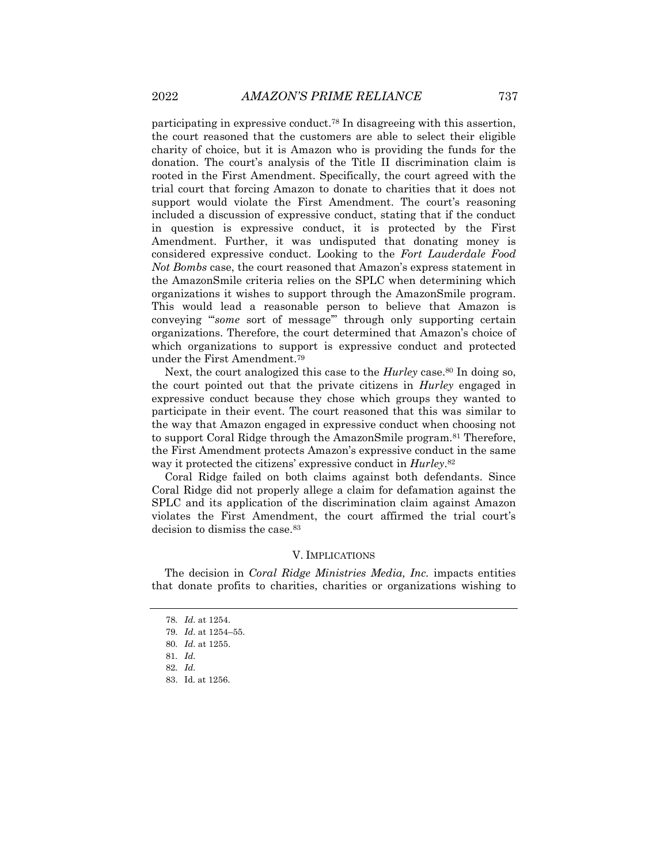participating in expressive conduct.<sup>78</sup> In disagreeing with this assertion, the court reasoned that the customers are able to select their eligible charity of choice, but it is Amazon who is providing the funds for the donation. The court's analysis of the Title II discrimination claim is rooted in the First Amendment. Specifically, the court agreed with the trial court that forcing Amazon to donate to charities that it does not support would violate the First Amendment. The court's reasoning included a discussion of expressive conduct, stating that if the conduct in question is expressive conduct, it is protected by the First Amendment. Further, it was undisputed that donating money is considered expressive conduct. Looking to the *Fort Lauderdale Food Not Bombs* case, the court reasoned that Amazon's express statement in the AmazonSmile criteria relies on the SPLC when determining which organizations it wishes to support through the AmazonSmile program. This would lead a reasonable person to believe that Amazon is conveying "'*some* sort of message'" through only supporting certain organizations. Therefore, the court determined that Amazon's choice of which organizations to support is expressive conduct and protected under the First Amendment.<sup>79</sup>

Next, the court analogized this case to the *Hurley* case.<sup>80</sup> In doing so, the court pointed out that the private citizens in *Hurley* engaged in expressive conduct because they chose which groups they wanted to participate in their event. The court reasoned that this was similar to the way that Amazon engaged in expressive conduct when choosing not to support Coral Ridge through the AmazonSmile program.<sup>81</sup> Therefore, the First Amendment protects Amazon's expressive conduct in the same way it protected the citizens' expressive conduct in *Hurley*. 82

Coral Ridge failed on both claims against both defendants. Since Coral Ridge did not properly allege a claim for defamation against the SPLC and its application of the discrimination claim against Amazon violates the First Amendment, the court affirmed the trial court's decision to dismiss the case.<sup>83</sup>

#### V. IMPLICATIONS

The decision in *Coral Ridge Ministries Media, Inc.* impacts entities that donate profits to charities, charities or organizations wishing to

<sup>78</sup>*. Id*. at 1254.

<sup>79</sup>*. Id*. at 1254–55.

<sup>80</sup>*. Id*. at 1255.

<sup>81</sup>*. Id.*

<sup>82</sup>*. Id.*

<sup>83.</sup> Id. at 1256.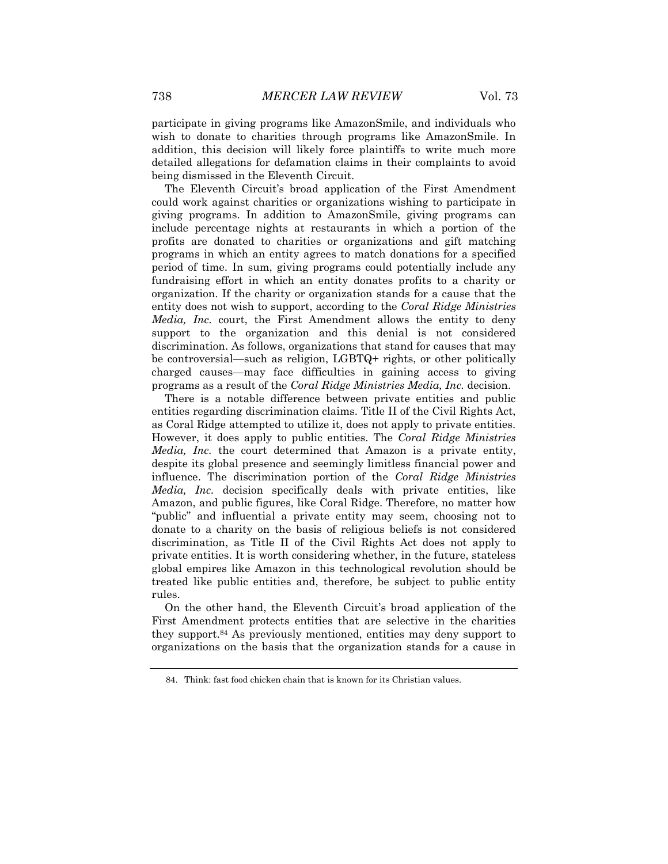participate in giving programs like AmazonSmile, and individuals who wish to donate to charities through programs like AmazonSmile. In addition, this decision will likely force plaintiffs to write much more detailed allegations for defamation claims in their complaints to avoid being dismissed in the Eleventh Circuit.

The Eleventh Circuit's broad application of the First Amendment could work against charities or organizations wishing to participate in giving programs. In addition to AmazonSmile, giving programs can include percentage nights at restaurants in which a portion of the profits are donated to charities or organizations and gift matching programs in which an entity agrees to match donations for a specified period of time. In sum, giving programs could potentially include any fundraising effort in which an entity donates profits to a charity or organization. If the charity or organization stands for a cause that the entity does not wish to support, according to the *Coral Ridge Ministries Media, Inc.* court, the First Amendment allows the entity to deny support to the organization and this denial is not considered discrimination. As follows, organizations that stand for causes that may be controversial—such as religion, LGBTQ+ rights, or other politically charged causes—may face difficulties in gaining access to giving programs as a result of the *Coral Ridge Ministries Media, Inc.* decision.

There is a notable difference between private entities and public entities regarding discrimination claims. Title II of the Civil Rights Act, as Coral Ridge attempted to utilize it, does not apply to private entities. However, it does apply to public entities. The *Coral Ridge Ministries Media, Inc.* the court determined that Amazon is a private entity, despite its global presence and seemingly limitless financial power and influence. The discrimination portion of the *Coral Ridge Ministries Media, Inc.* decision specifically deals with private entities, like Amazon, and public figures, like Coral Ridge. Therefore, no matter how "public" and influential a private entity may seem, choosing not to donate to a charity on the basis of religious beliefs is not considered discrimination, as Title II of the Civil Rights Act does not apply to private entities. It is worth considering whether, in the future, stateless global empires like Amazon in this technological revolution should be treated like public entities and, therefore, be subject to public entity rules.

On the other hand, the Eleventh Circuit's broad application of the First Amendment protects entities that are selective in the charities they support.<sup>84</sup> As previously mentioned, entities may deny support to organizations on the basis that the organization stands for a cause in

<sup>84.</sup> Think: fast food chicken chain that is known for its Christian values.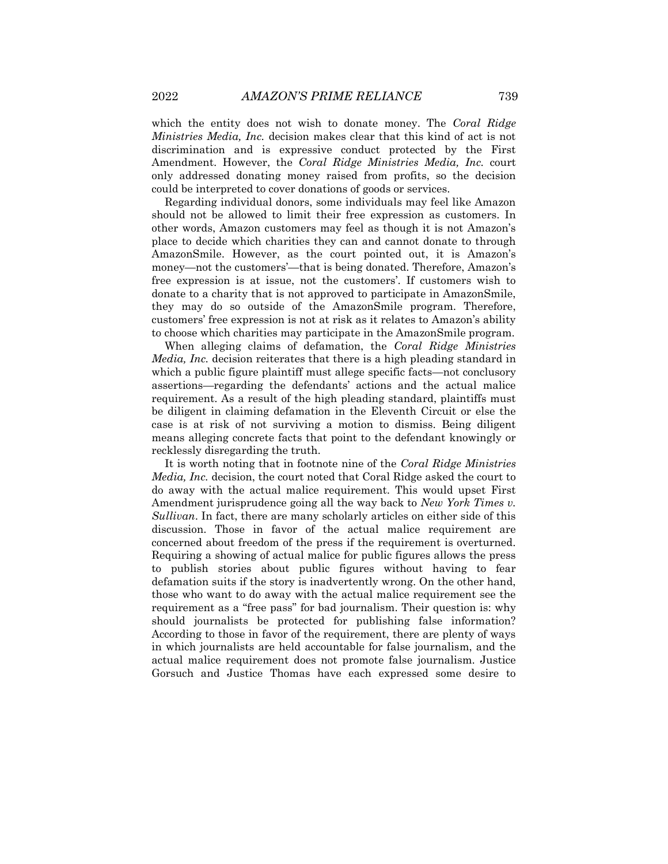which the entity does not wish to donate money. The *Coral Ridge Ministries Media, Inc.* decision makes clear that this kind of act is not discrimination and is expressive conduct protected by the First Amendment. However, the *Coral Ridge Ministries Media, Inc.* court only addressed donating money raised from profits, so the decision could be interpreted to cover donations of goods or services.

Regarding individual donors, some individuals may feel like Amazon should not be allowed to limit their free expression as customers. In other words, Amazon customers may feel as though it is not Amazon's place to decide which charities they can and cannot donate to through AmazonSmile. However, as the court pointed out, it is Amazon's money—not the customers'—that is being donated. Therefore, Amazon's free expression is at issue, not the customers'. If customers wish to donate to a charity that is not approved to participate in AmazonSmile, they may do so outside of the AmazonSmile program. Therefore, customers' free expression is not at risk as it relates to Amazon's ability to choose which charities may participate in the AmazonSmile program.

When alleging claims of defamation, the *Coral Ridge Ministries Media, Inc.* decision reiterates that there is a high pleading standard in which a public figure plaintiff must allege specific facts—not conclusory assertions—regarding the defendants' actions and the actual malice requirement. As a result of the high pleading standard, plaintiffs must be diligent in claiming defamation in the Eleventh Circuit or else the case is at risk of not surviving a motion to dismiss. Being diligent means alleging concrete facts that point to the defendant knowingly or recklessly disregarding the truth.

It is worth noting that in footnote nine of the *Coral Ridge Ministries Media, Inc.* decision, the court noted that Coral Ridge asked the court to do away with the actual malice requirement. This would upset First Amendment jurisprudence going all the way back to *New York Times v. Sullivan*. In fact, there are many scholarly articles on either side of this discussion. Those in favor of the actual malice requirement are concerned about freedom of the press if the requirement is overturned. Requiring a showing of actual malice for public figures allows the press to publish stories about public figures without having to fear defamation suits if the story is inadvertently wrong. On the other hand, those who want to do away with the actual malice requirement see the requirement as a "free pass" for bad journalism. Their question is: why should journalists be protected for publishing false information? According to those in favor of the requirement, there are plenty of ways in which journalists are held accountable for false journalism, and the actual malice requirement does not promote false journalism. Justice Gorsuch and Justice Thomas have each expressed some desire to